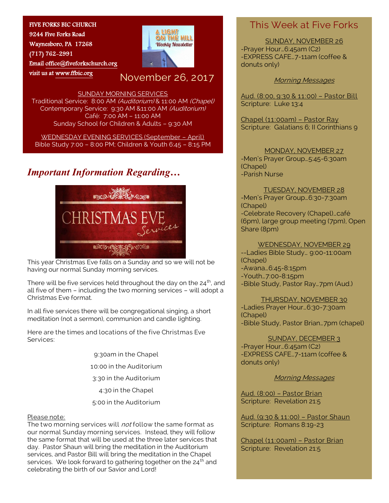### FIVE FORKS BIC CHURCH

9244 Five Forks Road Waynesboro, PA 17268 (717) 762-2991 Emai[l office@fiveforkschurch.org](mailto:office@fiveforkschurch.org)  visit us at [www.ffbic.org](http://www.ffbic.org/) 



# November 26, 2017

#### SUNDAY MORNING SERVICES

Traditional Service: 8:00 AM (Auditorium) & 11:00 AM (Chapel) Contemporary Service: 9:30 AM &11:00 AM (Auditorium) Café: 7:00 AM – 11:00 AM Sunday School for Children & Adults – 9:30 AM

WEDNESDAY EVENING SERVICES (September – April) Bible Study 7:00 – 8:00 PM; Children & Youth 6:45 – 8:15 PM

## *Important Information Regarding…*



This year Christmas Eve falls on a Sunday and so we will not be having our normal Sunday morning services.

There will be five services held throughout the day on the  $24<sup>th</sup>$ , and all five of them – including the two morning services – will adopt a Christmas Eve format.

In all five services there will be congregational singing, a short meditation (not a sermon), communion and candle lighting.

Here are the times and locations of the five Christmas Eve Services:

> 9:30am in the Chapel 10:00 in the Auditorium 3:30 in the Auditorium 4:30 in the Chapel 5:00 in the Auditorium

#### Please note:

services. We look forward to gathering together on the 24<sup>th</sup> and<br>celebrating the birth of our Savior and Lord! The two morning services will not follow the same format as our normal Sunday morning services. Instead, they will follow the same format that will be used at the three later services that day. Pastor Shaun will bring the meditation in the Auditorium services, and Pastor Bill will bring the meditation in the Chapel celebrating the birth of our Savior and Lord!

### This Week at Five Forks

SUNDAY, NOVEMBER 26 -Prayer Hour…6:45am (C2) -EXPRESS CAFE…7-11am (coffee & donuts only)

#### Morning Messages

Aud. (8:00, 9:30 & 11:00) - Pastor Bill Scripture: Luke 13:4

Chapel (11:00am) – Pastor Ray Scripture: Galatians 6; Il Corinthians 9

MONDAY, NOVEMBER 27

-Men's Prayer Group…5:45-6:30am (Chapel) -Parish Nurse

TUESDAY, NOVEMBER 28 -Men's Prayer Group…6:30-7:30am (Chapel) -Celebrate Recovery (Chapel)…café (6pm), large group meeting (7pm), Open

#### WEDNESDAY, NOVEMBER 29

--Ladies Bible Study… 9:00-11:00am (Chapel) -Awana…6:45-8:15pm -Youth…7:00-8:15pm -Bible Study, Pastor Ray…7pm (Aud.)

Share (8pm)

THURSDAY, NOVEMBER 30

-Ladies Prayer Hour…6:30-7:30am (Chapel) -Bible Study, Pastor Brian…7pm (chapel)

SUNDAY, DECEMBER 3 -Prayer Hour…6:45am (C2) -EXPRESS CAFE…7-11am (coffee & donuts only)

Morning Messages

Aud. (8:00) – Pastor Brian Scripture: Revelation 21:5

Aud. (9:30 & 11:00) – Pastor Shaun Scripture: Romans 8:19-23

Chapel (11:00am) – Pastor Brian Scripture: Revelation 21:5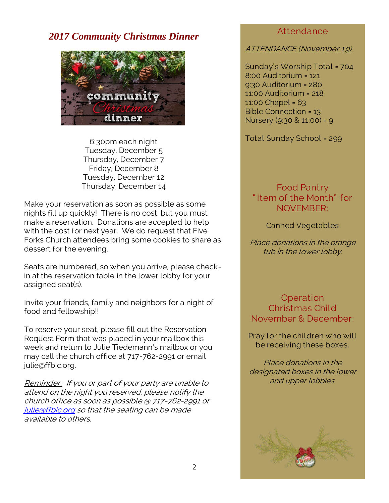# *2017 Community Christmas Dinner*



6:30pm each night Tuesday, December 5 Thursday, December 7 Friday, December 8 Tuesday, December 12 Thursday, December 14

Make your reservation as soon as possible as some nights fill up quickly! There is no cost, but you must make a reservation. Donations are accepted to help with the cost for next year. We do request that Five Forks Church attendees bring some cookies to share as dessert for the evening.

Seats are numbered, so when you arrive, please checkin at the reservation table in the lower lobby for your assigned seat(s).

Invite your friends, family and neighbors for a night of food and fellowship!!

To reserve your seat, please fill out the Reservation Request Form that was placed in your mailbox this week and return to Julie Tiedemann's mailbox or you may call the church office at 717-762-2991 or email julie@ffbic.org.

Reminder: If you or part of your party are unable to attend on the night you reserved, please notify the church office as soon as possible @ 717-762-2991 or [julie@ffbic.org](mailto:julie@ffbic.org) so that the seating can be made available to others.

### Attendance

### ATTENDANCE (November 19)

Sunday's Worship Total = 704 8:00 Auditorium = 121 9:30 Auditorium = 280 11:00 Auditorium = 218 11:00 Chapel = 63 Bible Connection = 13 Nursery (9:30 & 11:00) = 9

Total Sunday School = 299

Food Pantry " Item of the Month" for NOVEMBER:

Canned Vegetables

Place donations in the orange tub in the lower lobby.

Operation Christmas Child November & December:

Pray for the children who will be receiving these boxes.

Place donations in the designated boxes in the lower and upper lobbies.

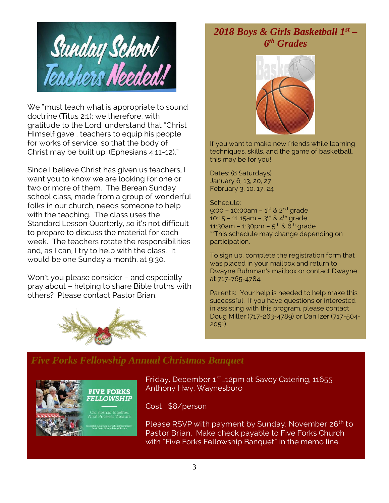

We "must teach what is appropriate to sound doctrine (Titus 2:1); we therefore, with gratitude to the Lord, understand that "Christ Himself gave… teachers to equip his people for works of service, so that the body of Christ may be built up. (Ephesians 4:11-12)."

Since I believe Christ has given us teachers, I want you to know we are looking for one or two or more of them. The Berean Sunday school class, made from a group of wonderful folks in our church, needs someone to help with the teaching. The class uses the Standard Lesson Quarterly, so it's not difficult to prepare to discuss the material for each week. The teachers rotate the responsibilities and, as I can, I try to help with the class. It would be one Sunday a month, at 9:30.

Won't you please consider – and especially pray about – helping to share Bible truths with others? Please contact Pastor Brian.



# *2018 Boys & Girls Basketball 1st – 6 th Grades*



If you want to make new friends while learning techniques, skills, and the game of basketball, this may be for you!

Dates: (8 Saturdays) January 6, 13, 20, 27 February 3, 10, 17, 24

Schedule: 9:00 – 10:00am – 1<sup>st</sup> & 2<sup>nd</sup> grade 10:15 – 11:15am – 3<sup>rd</sup> & 4<sup>th</sup> grade 11:30am – 1:30pm – 5<sup>th</sup> & 6<sup>th</sup> grade \*\*This schedule may change depending on participation.

To sign up, complete the registration form that was placed in your mailbox and return to Dwayne Buhrman's mailbox or contact Dwayne at 717-765-4784.

Parents: Your help is needed to help make this successful. If you have questions or interested in assisting with this program, please contact Doug Miller (717-263-4789) or Dan Izer (717-504- 2051).

### *Five Forks Fellowship Annual Christmas Banquet*



Friday, December 1<sup>st</sup>…12pm at Savoy Catering, 11655 Anthony Hwy, Waynesboro

Cost: \$8/person

Please RSVP with payment by Sunday, November 26<sup>th</sup> to Pastor Brian. Make check payable to Five Forks Church with "Five Forks Fellowship Banquet" in the memo line.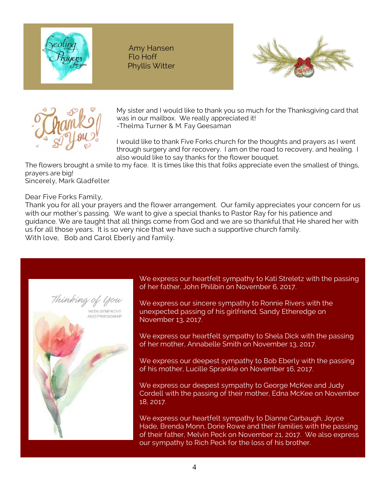

Amy Hansen Flo Hoff Phyllis Witter





My sister and I would like to thank you so much for the Thanksgiving card that was in our mailbox. We really appreciated it! -Thelma Turner & M. Fay Geesaman

I would like to thank Five Forks church for the thoughts and prayers as I went through surgery and for recovery. I am on the road to recovery, and healing. I also would like to say thanks for the flower bouquet.

The flowers brought a smile to my face. It is times like this that folks appreciate even the smallest of things, prayers are big! Sincerely, Mark Gladfelter

Dear Five Forks Family,

Thank you for all your prayers and the flower arrangement. Our family appreciates your concern for us with our mother's passing. We want to give a special thanks to Pastor Ray for his patience and guidance. We are taught that all things come from God and we are so thankful that He shared her with us for all those years. It is so very nice that we have such a supportive church family. With love, Bob and Carol Eberly and family.

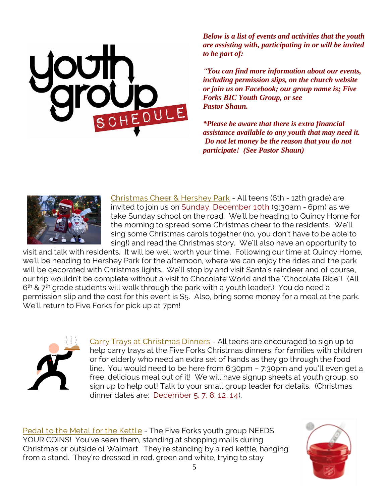*Below is a list of events and activities that the youth are assisting with, participating in or will be invited to be part of:*

*"You can find more information about our events, including permission slips, on the church website or join us on Facebook; our group name is; Five Forks BIC Youth Group, or see Pastor Shaun.*

*\*Please be aware that there is extra financial assistance available to any youth that may need it. Do not let money be the reason that you do not participate! (See Pastor Shaun)*



Christmas Cheer & Hershey Park - All teens (6th - 12th grade) are invited to join us on Sunday, December 10th (9:30am - 6pm) as we take Sunday school on the road. We'll be heading to Quincy Home for the morning to spread some Christmas cheer to the residents. We'll sing some Christmas carols together (no, you don't have to be able to sing!) and read the Christmas story. We'll also have an opportunity to

visit and talk with residents. It will be well worth your time. Following our time at Quincy Home, we'll be heading to Hershey Park for the afternoon, where we can enjoy the rides and the park will be decorated with Christmas lights. We'll stop by and visit Santa's reindeer and of course, our trip wouldn't be complete without a visit to Chocolate World and the "Chocolate Ride"! (All 6<sup>th</sup> & 7<sup>th</sup> grade students will walk through the park with a youth leader.) You do need a permission slip and the cost for this event is \$5. Also, bring some money for a meal at the park. We'll return to Five Forks for pick up at 7pm!



Carry Trays at Christmas Dinners - All teens are encouraged to sign up to help carry trays at the Five Forks Christmas dinners; for families with children or for elderly who need an extra set of hands as they go through the food line. You would need to be here from 6:30pm – 7:30pm and you'll even get a free, delicious meal out of it! We will have signup sheets at youth group, so sign up to help out! Talk to your small group leader for details. (Christmas dinner dates are: December 5, 7, 8, 12, 14).

Pedal to the Metal for the Kettle - The Five Forks youth group NEEDS YOUR COINS! You've seen them, standing at shopping malls during Christmas or outside of Walmart. They're standing by a red kettle, hanging from a stand. They're dressed in red, green and white, trying to stay